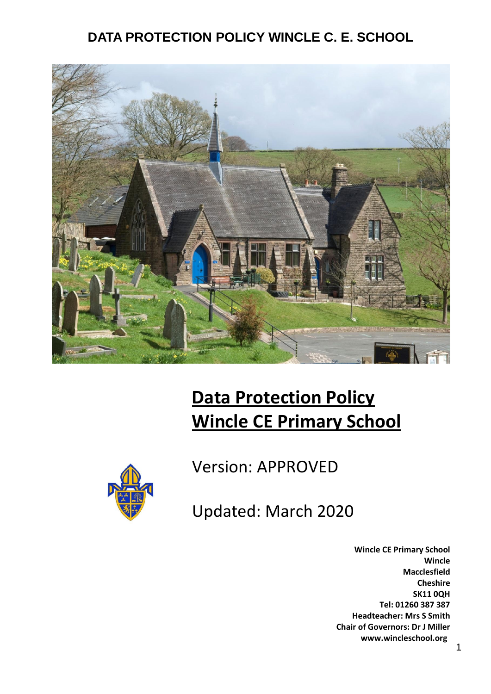

# **Data Protection Policy Wincle CE Primary School**



Version: APPROVED

Updated: March 2020

**Wincle CE Primary School Wincle Macclesfield Cheshire SK11 0QH Tel: 01260 387 387 Headteacher: Mrs S Smith Chair of Governors: Dr J Miller www.wincleschool.org**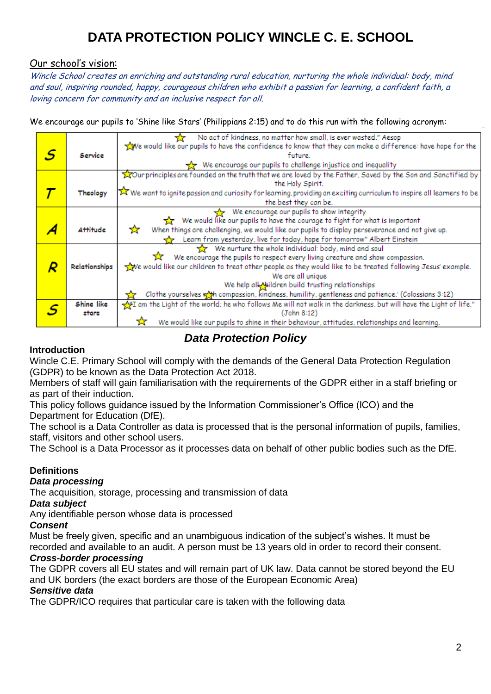# Our school's vision:

Wincle School creates an enriching and outstanding rural education, nurturing the whole individual: body, mind and soul, inspiring rounded, happy, courageous children who exhibit a passion for learning, a confident faith, a loving concern for community and an inclusive respect for all.

We encourage our pupils to 'Shine like Stars' (Philippians 2:15) and to do this run with the following acronym:

|   |               | No act of kindness, no matter how small, is ever wasted." Aesop                                                        |
|---|---------------|------------------------------------------------------------------------------------------------------------------------|
|   |               | We would like our pupils to have the confidence to know that they can make a difference: have hope for the             |
| S | Service       | future.                                                                                                                |
|   |               | We encourage our pupils to challenge injustice and inequality                                                          |
|   |               | our principles are founded on the truth that we are loved by the Father, Saved by the Son and Sanctified by            |
|   |               | the Holy Spirit.                                                                                                       |
|   | Theology      | X We want to ignite passion and curiosity for learning, providing an exciting curriculum to inspire all learners to be |
|   |               | the best they can be.                                                                                                  |
|   |               | We encourage our pupils to show integrity                                                                              |
|   |               | We would like our pupils to have the courage to fight for what is important                                            |
|   | Attitude      | When things are challenging, we would like our pupils to display perseverance and not give up.<br>☆                    |
|   |               | Learn from yesterday, live for today, hope for tomorrow" Albert Einstein                                               |
|   |               | We nurture the whole individual: body, mind and soul                                                                   |
|   |               | We encourage the pupils to respect every living creature and show compassion.                                          |
|   | Relationships | we would like our children to treat other people as they would like to be treated following Jesus' example.            |
|   |               | We are all unique                                                                                                      |
|   |               | We help all Maildren build trusting relationships                                                                      |
|   |               | Clothe yourselves wat compassion, kindness, humility, gentleness and patience.' (Colossians 3:12)                      |
|   | Shine like    | If am the Light of the world; he who follows Me will not walk in the darkness, but will have the Light of life."       |
|   | stars         | (John 8:12)                                                                                                            |
|   |               | We would like our pupils to shine in their behaviour, attitudes, relationships and learning.                           |

*Data Protection Policy*

# **Introduction**

Wincle C.E. Primary School will comply with the demands of the General Data Protection Regulation (GDPR) to be known as the Data Protection Act 2018.

Members of staff will gain familiarisation with the requirements of the GDPR either in a staff briefing or as part of their induction.

This policy follows guidance issued by the Information Commissioner's Office (ICO) and the Department for Education (DfE).

The school is a Data Controller as data is processed that is the personal information of pupils, families, staff, visitors and other school users.

The School is a Data Processor as it processes data on behalf of other public bodies such as the DfE.

# **Definitions**

# *Data processing*

The acquisition, storage, processing and transmission of data

# *Data subject*

Any identifiable person whose data is processed

# *Consent*

Must be freely given, specific and an unambiguous indication of the subject's wishes. It must be recorded and available to an audit. A person must be 13 years old in order to record their consent.

# *Cross-border processing*

The GDPR covers all EU states and will remain part of UK law. Data cannot be stored beyond the EU and UK borders (the exact borders are those of the European Economic Area)

# *Sensitive data*

The GDPR/ICO requires that particular care is taken with the following data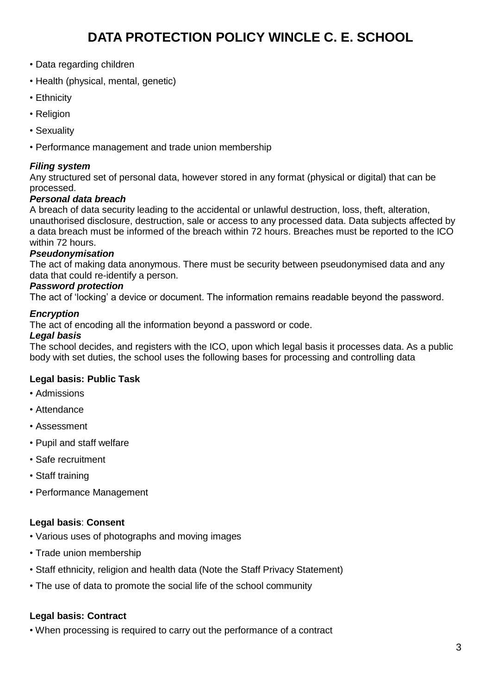- Data regarding children
- Health (physical, mental, genetic)
- Ethnicity
- Religion
- Sexuality
- Performance management and trade union membership

# *Filing system*

Any structured set of personal data, however stored in any format (physical or digital) that can be processed.

#### *Personal data breach*

A breach of data security leading to the accidental or unlawful destruction, loss, theft, alteration, unauthorised disclosure, destruction, sale or access to any processed data. Data subjects affected by a data breach must be informed of the breach within 72 hours. Breaches must be reported to the ICO within 72 hours.

# *Pseudonymisation*

The act of making data anonymous. There must be security between pseudonymised data and any data that could re-identify a person.

#### *Password protection*

The act of 'locking' a device or document. The information remains readable beyond the password.

#### *Encryption*

The act of encoding all the information beyond a password or code.

#### *Legal basis*

The school decides, and registers with the ICO, upon which legal basis it processes data. As a public body with set duties, the school uses the following bases for processing and controlling data

# **Legal basis: Public Task**

- Admissions
- Attendance
- Assessment
- Pupil and staff welfare
- Safe recruitment
- Staff training
- Performance Management

# **Legal basis**: **Consent**

- Various uses of photographs and moving images
- Trade union membership
- Staff ethnicity, religion and health data (Note the Staff Privacy Statement)
- The use of data to promote the social life of the school community

#### **Legal basis: Contract**

• When processing is required to carry out the performance of a contract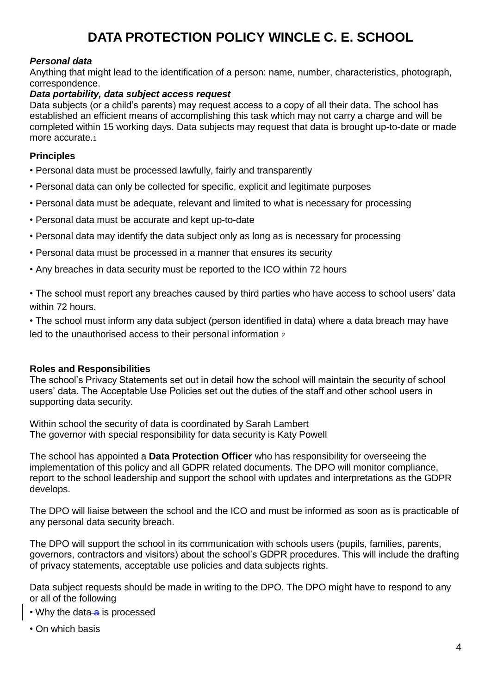# *Personal data*

Anything that might lead to the identification of a person: name, number, characteristics, photograph, correspondence.

# *Data portability, data subject access request*

Data subjects (or a child's parents) may request access to a copy of all their data. The school has established an efficient means of accomplishing this task which may not carry a charge and will be completed within 15 working days. Data subjects may request that data is brought up-to-date or made more accurate.<sup>1</sup>

### **Principles**

- Personal data must be processed lawfully, fairly and transparently
- Personal data can only be collected for specific, explicit and legitimate purposes
- Personal data must be adequate, relevant and limited to what is necessary for processing
- Personal data must be accurate and kept up-to-date
- Personal data may identify the data subject only as long as is necessary for processing
- Personal data must be processed in a manner that ensures its security
- Any breaches in data security must be reported to the ICO within 72 hours

• The school must report any breaches caused by third parties who have access to school users' data within 72 hours.

• The school must inform any data subject (person identified in data) where a data breach may have led to the unauthorised access to their personal information <sup>2</sup>

# **Roles and Responsibilities**

The school's Privacy Statements set out in detail how the school will maintain the security of school users' data. The Acceptable Use Policies set out the duties of the staff and other school users in supporting data security.

Within school the security of data is coordinated by Sarah Lambert The governor with special responsibility for data security is Katy Powell

The school has appointed a **Data Protection Officer** who has responsibility for overseeing the implementation of this policy and all GDPR related documents. The DPO will monitor compliance, report to the school leadership and support the school with updates and interpretations as the GDPR develops.

The DPO will liaise between the school and the ICO and must be informed as soon as is practicable of any personal data security breach.

The DPO will support the school in its communication with schools users (pupils, families, parents, governors, contractors and visitors) about the school's GDPR procedures. This will include the drafting of privacy statements, acceptable use policies and data subjects rights.

Data subject requests should be made in writing to the DPO. The DPO might have to respond to any or all of the following

- Why the data a is processed
- On which basis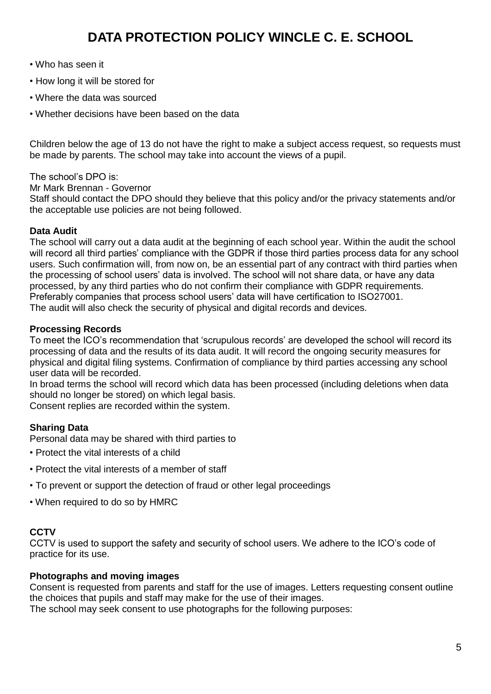- Who has seen it
- How long it will be stored for
- Where the data was sourced
- Whether decisions have been based on the data

Children below the age of 13 do not have the right to make a subject access request, so requests must be made by parents. The school may take into account the views of a pupil.

#### The school's DPO is:

Mr Mark Brennan - Governor

Staff should contact the DPO should they believe that this policy and/or the privacy statements and/or the acceptable use policies are not being followed.

#### **Data Audit**

The school will carry out a data audit at the beginning of each school year. Within the audit the school will record all third parties' compliance with the GDPR if those third parties process data for any school users. Such confirmation will, from now on, be an essential part of any contract with third parties when the processing of school users' data is involved. The school will not share data, or have any data processed, by any third parties who do not confirm their compliance with GDPR requirements. Preferably companies that process school users' data will have certification to ISO27001. The audit will also check the security of physical and digital records and devices.

# **Processing Records**

To meet the ICO's recommendation that 'scrupulous records' are developed the school will record its processing of data and the results of its data audit. It will record the ongoing security measures for physical and digital filing systems. Confirmation of compliance by third parties accessing any school user data will be recorded.

In broad terms the school will record which data has been processed (including deletions when data should no longer be stored) on which legal basis.

Consent replies are recorded within the system.

# **Sharing Data**

Personal data may be shared with third parties to

- Protect the vital interests of a child
- Protect the vital interests of a member of staff
- To prevent or support the detection of fraud or other legal proceedings
- When required to do so by HMRC

# **CCTV**

CCTV is used to support the safety and security of school users. We adhere to the ICO's code of practice for its use.

# **Photographs and moving images**

Consent is requested from parents and staff for the use of images. Letters requesting consent outline the choices that pupils and staff may make for the use of their images.

The school may seek consent to use photographs for the following purposes: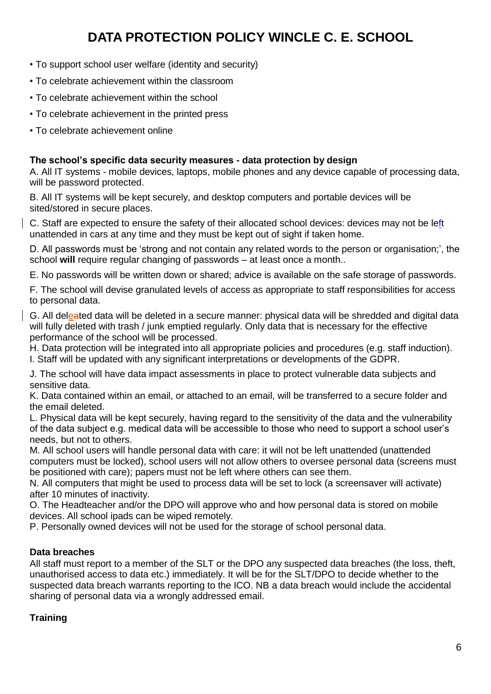- To support school user welfare (identity and security)
- To celebrate achievement within the classroom
- To celebrate achievement within the school
- To celebrate achievement in the printed press
- To celebrate achievement online

# **The school's specific data security measures - data protection by design**

A. All IT systems - mobile devices, laptops, mobile phones and any device capable of processing data, will be password protected.

B. All IT systems will be kept securely, and desktop computers and portable devices will be sited/stored in secure places.

C. Staff are expected to ensure the safety of their allocated school devices: devices may not be left unattended in cars at any time and they must be kept out of sight if taken home.

D. All passwords must be 'strong and not contain any related words to the person or organisation;', the school **will** require regular changing of passwords – at least once a month..

E. No passwords will be written down or shared; advice is available on the safe storage of passwords.

F. The school will devise granulated levels of access as appropriate to staff responsibilities for access to personal data.

G. All deleated data will be deleted in a secure manner: physical data will be shredded and digital data will fully deleted with trash / junk emptied regularly. Only data that is necessary for the effective performance of the school will be processed.

H. Data protection will be integrated into all appropriate policies and procedures (e.g. staff induction). I. Staff will be updated with any significant interpretations or developments of the GDPR.

J. The school will have data impact assessments in place to protect vulnerable data subjects and sensitive data.

K. Data contained within an email, or attached to an email, will be transferred to a secure folder and the email deleted.

L. Physical data will be kept securely, having regard to the sensitivity of the data and the vulnerability of the data subject e.g. medical data will be accessible to those who need to support a school user's needs, but not to others.

M. All school users will handle personal data with care: it will not be left unattended (unattended computers must be locked), school users will not allow others to oversee personal data (screens must be positioned with care); papers must not be left where others can see them.

N. All computers that might be used to process data will be set to lock (a screensaver will activate) after 10 minutes of inactivity.

O. The Headteacher and/or the DPO will approve who and how personal data is stored on mobile devices. All school ipads can be wiped remotely.

P. Personally owned devices will not be used for the storage of school personal data.

# **Data breaches**

All staff must report to a member of the SLT or the DPO any suspected data breaches (the loss, theft, unauthorised access to data etc.) immediately. It will be for the SLT/DPO to decide whether to the suspected data breach warrants reporting to the ICO. NB a data breach would include the accidental sharing of personal data via a wrongly addressed email.

# **Training**